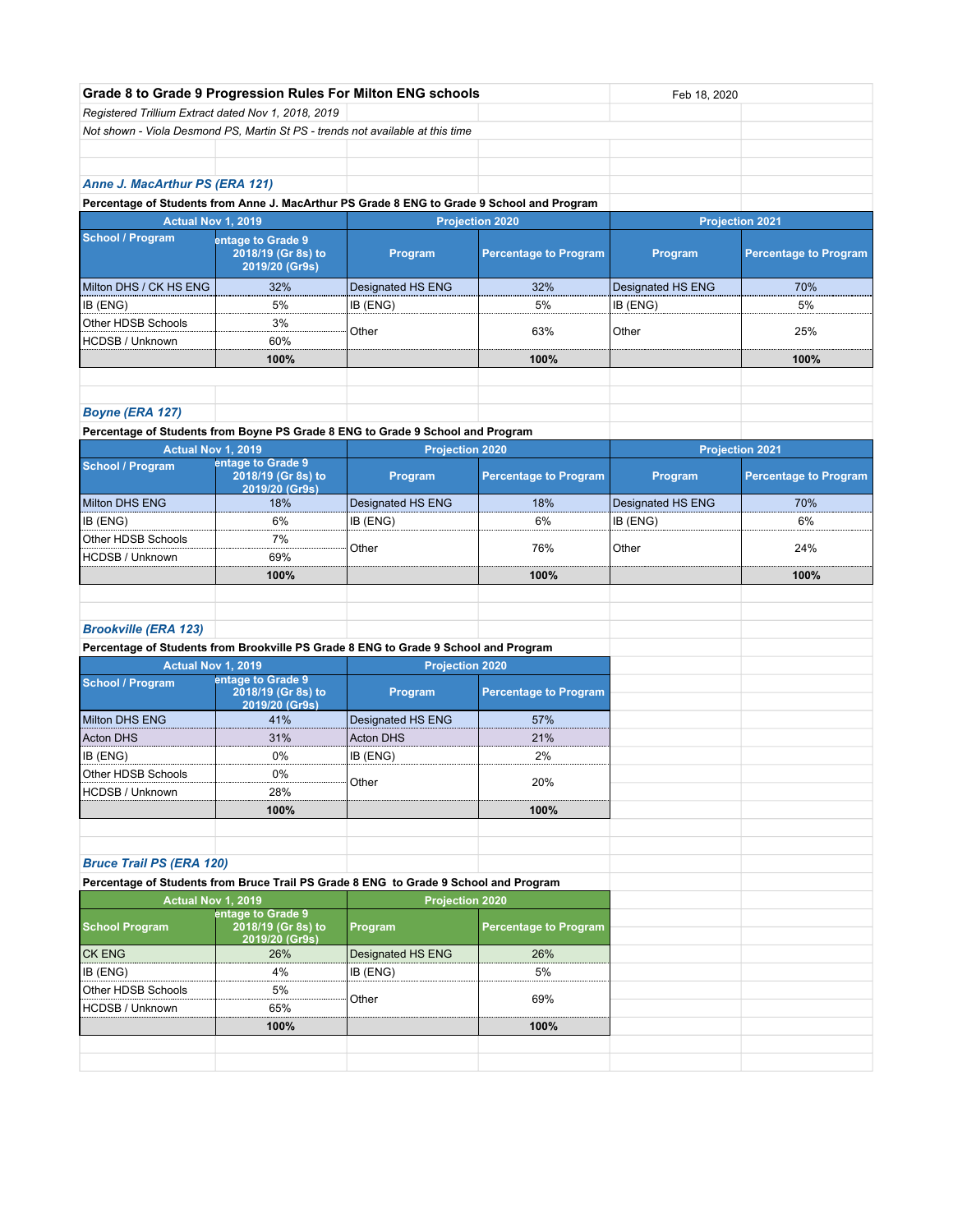|                                                                                                                         | Grade 8 to Grade 9 Progression Rules For Milton ENG schools |                        |                              | Feb 18, 2020           |                              |
|-------------------------------------------------------------------------------------------------------------------------|-------------------------------------------------------------|------------------------|------------------------------|------------------------|------------------------------|
| Registered Trillium Extract dated Nov 1, 2018, 2019                                                                     |                                                             |                        |                              |                        |                              |
| Not shown - Viola Desmond PS, Martin St PS - trends not available at this time                                          |                                                             |                        |                              |                        |                              |
|                                                                                                                         |                                                             |                        |                              |                        |                              |
|                                                                                                                         |                                                             |                        |                              |                        |                              |
| Anne J. MacArthur PS (ERA 121)                                                                                          |                                                             |                        |                              |                        |                              |
| Percentage of Students from Anne J. MacArthur PS Grade 8 ENG to Grade 9 School and Program                              |                                                             |                        |                              |                        |                              |
| Actual Nov 1, 2019                                                                                                      |                                                             | <b>Projection 2020</b> |                              | <b>Projection 2021</b> |                              |
| <b>School / Program</b>                                                                                                 | entage to Grade 9<br>2018/19 (Gr 8s) to<br>2019/20 (Gr9s)   | Program                | <b>Percentage to Program</b> | Program                | <b>Percentage to Program</b> |
| Milton DHS / CK HS ENG                                                                                                  | 32%                                                         | Designated HS ENG      | 32%                          | Designated HS ENG      | 70%                          |
| IB (ENG)                                                                                                                | 5%                                                          | IB (ENG)               | 5%                           | IB (ENG)               | 5%                           |
| Other HDSB Schools                                                                                                      | 3%                                                          |                        |                              |                        |                              |
| <b>HCDSB / Unknown</b>                                                                                                  | 60%                                                         | Other                  | 63%                          | Other                  | 25%                          |
|                                                                                                                         | 100%                                                        |                        | 100%                         |                        | 100%                         |
|                                                                                                                         |                                                             |                        |                              |                        |                              |
| <b>Boyne (ERA 127)</b>                                                                                                  |                                                             |                        |                              |                        |                              |
| Percentage of Students from Boyne PS Grade 8 ENG to Grade 9 School and Program                                          |                                                             |                        |                              |                        |                              |
| Actual Nov 1, 2019                                                                                                      |                                                             | <b>Projection 2020</b> |                              |                        | <b>Projection 2021</b>       |
| <b>School / Program</b>                                                                                                 | entage to Grade 9                                           |                        |                              |                        |                              |
|                                                                                                                         | 2018/19 (Gr 8s) to<br>2019/20 (Gr9s)                        | Program                | <b>Percentage to Program</b> | Program                | <b>Percentage to Program</b> |
| <b>Milton DHS ENG</b>                                                                                                   | 18%                                                         | Designated HS ENG      | 18%                          | Designated HS ENG      | 70%                          |
| IB (ENG)                                                                                                                | 6%                                                          | IB (ENG)               | 6%                           | IB (ENG)               | 6%                           |
| Other HDSB Schools                                                                                                      | 7%                                                          |                        | 76%                          |                        |                              |
| HCDSB / Unknown                                                                                                         | 69%                                                         | Other                  |                              | Other                  | 24%                          |
|                                                                                                                         | 100%                                                        |                        | 100%                         |                        | 100%                         |
|                                                                                                                         |                                                             |                        |                              |                        |                              |
|                                                                                                                         |                                                             |                        |                              |                        |                              |
| <b>Brookville (ERA 123)</b>                                                                                             |                                                             |                        |                              |                        |                              |
| Percentage of Students from Brookville PS Grade 8 ENG to Grade 9 School and Program                                     |                                                             |                        |                              |                        |                              |
| Actual Nov 1, 2019                                                                                                      |                                                             | <b>Projection 2020</b> |                              |                        |                              |
| <b>School / Program</b>                                                                                                 | entage to Grade 9<br>2018/19 (Gr 8s) to<br>2019/20 (Gr9s)   | Program                | <b>Percentage to Program</b> |                        |                              |
| <b>Milton DHS ENG</b>                                                                                                   | 41%                                                         | Designated HS ENG      | 57%                          |                        |                              |
| <b>Acton DHS</b>                                                                                                        | 31%                                                         | <b>Acton DHS</b>       | 21%                          |                        |                              |
| IB (ENG)                                                                                                                | 0%                                                          | IB (ENG)               | 2%                           |                        |                              |
| Other HDSB Schools                                                                                                      | 0%                                                          |                        |                              |                        |                              |
| <b>HCDSB / Unknown</b>                                                                                                  | 28%                                                         | Other                  | 20%                          |                        |                              |
|                                                                                                                         | 100%                                                        |                        | 100%                         |                        |                              |
|                                                                                                                         |                                                             |                        |                              |                        |                              |
|                                                                                                                         |                                                             |                        |                              |                        |                              |
| <b>Bruce Trail PS (ERA 120)</b><br>Percentage of Students from Bruce Trail PS Grade 8 ENG to Grade 9 School and Program |                                                             |                        |                              |                        |                              |
| Actual Nov 1, 2019                                                                                                      |                                                             |                        |                              |                        |                              |
|                                                                                                                         | entage to Grade 9                                           | <b>Projection 2020</b> |                              |                        |                              |
| <b>School Program</b>                                                                                                   | 2018/19 (Gr 8s) to<br>2019/20 (Gr9s)                        | Program                | <b>Percentage to Program</b> |                        |                              |
| <b>CK ENG</b>                                                                                                           | 26%                                                         | Designated HS ENG      | 26%                          |                        |                              |
| IB (ENG)                                                                                                                | 4%                                                          | IB (ENG)               | 5%                           |                        |                              |
| Other HDSB Schools                                                                                                      | 5%                                                          |                        |                              |                        |                              |
| <b>HCDSB / Unknown</b>                                                                                                  | 65%                                                         | Other                  | 69%                          |                        |                              |
|                                                                                                                         | 100%                                                        |                        | 100%                         |                        |                              |
|                                                                                                                         |                                                             |                        |                              |                        |                              |
|                                                                                                                         |                                                             |                        |                              |                        |                              |
|                                                                                                                         |                                                             |                        |                              |                        |                              |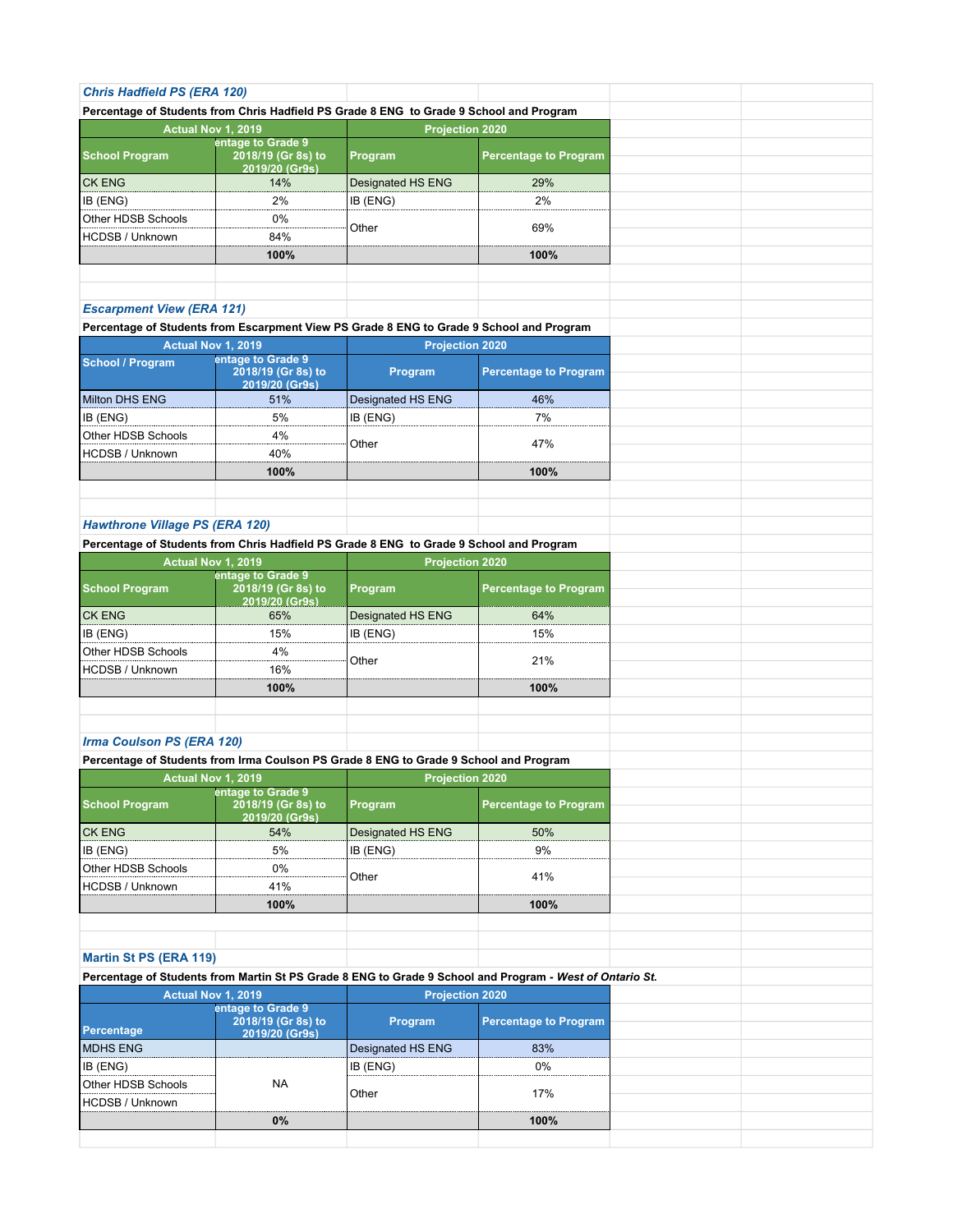| <b>Chris Hadfield PS (ERA 120)</b>                                                       |                                      |                        |                                                                                                          |  |
|------------------------------------------------------------------------------------------|--------------------------------------|------------------------|----------------------------------------------------------------------------------------------------------|--|
| Percentage of Students from Chris Hadfield PS Grade 8 ENG to Grade 9 School and Program  |                                      |                        |                                                                                                          |  |
|                                                                                          | Actual Nov 1, 2019                   | <b>Projection 2020</b> |                                                                                                          |  |
|                                                                                          | entage to Grade 9                    |                        |                                                                                                          |  |
| <b>School Program</b>                                                                    | 2018/19 (Gr 8s) to                   | Program                | <b>Percentage to Program</b>                                                                             |  |
|                                                                                          | 2019/20 (Gr9s)                       |                        |                                                                                                          |  |
| <b>CK ENG</b>                                                                            | 14%                                  | Designated HS ENG      | 29%                                                                                                      |  |
| IB (ENG)                                                                                 | 2%                                   | IB (ENG)               | 2%                                                                                                       |  |
| Other HDSB Schools                                                                       | 0%                                   | Other                  | 69%                                                                                                      |  |
| <b>HCDSB / Unknown</b>                                                                   | 84%                                  |                        |                                                                                                          |  |
|                                                                                          | 100%                                 |                        | 100%                                                                                                     |  |
|                                                                                          |                                      |                        |                                                                                                          |  |
|                                                                                          |                                      |                        |                                                                                                          |  |
| <b>Escarpment View (ERA 121)</b>                                                         |                                      |                        |                                                                                                          |  |
| Percentage of Students from Escarpment View PS Grade 8 ENG to Grade 9 School and Program |                                      |                        |                                                                                                          |  |
|                                                                                          | Actual Nov 1, 2019                   | <b>Projection 2020</b> |                                                                                                          |  |
| <b>School / Program</b>                                                                  | entage to Grade 9                    |                        |                                                                                                          |  |
|                                                                                          | 2018/19 (Gr 8s) to                   | Program                | <b>Percentage to Program</b>                                                                             |  |
| Milton DHS ENG                                                                           | 2019/20 (Gr9s)                       |                        |                                                                                                          |  |
|                                                                                          | 51%                                  | Designated HS ENG      | 46%                                                                                                      |  |
| IB (ENG)                                                                                 | 5%                                   | IB (ENG)               | 7%                                                                                                       |  |
| Other HDSB Schools                                                                       | 4%                                   | Other                  | 47%                                                                                                      |  |
| <b>HCDSB / Unknown</b>                                                                   | 40%                                  |                        |                                                                                                          |  |
|                                                                                          | 100%                                 |                        | 100%                                                                                                     |  |
|                                                                                          |                                      |                        |                                                                                                          |  |
|                                                                                          |                                      |                        |                                                                                                          |  |
| <b>Hawthrone Village PS (ERA 120)</b>                                                    |                                      |                        |                                                                                                          |  |
| Percentage of Students from Chris Hadfield PS Grade 8 ENG to Grade 9 School and Program  |                                      |                        |                                                                                                          |  |
|                                                                                          | Actual Nov 1, 2019                   | <b>Projection 2020</b> |                                                                                                          |  |
|                                                                                          | entage to Grade 9                    |                        |                                                                                                          |  |
| <b>School Program</b>                                                                    | 2018/19 (Gr 8s) to                   | Program                | <b>Percentage to Program</b>                                                                             |  |
| <b>CK ENG</b>                                                                            | 2019/20 (Gr9s)<br>65%                | Designated HS ENG      | 64%                                                                                                      |  |
| IB (ENG)                                                                                 | 15%                                  | IB (ENG)               | 15%                                                                                                      |  |
| Other HDSB Schools                                                                       | 4%                                   |                        |                                                                                                          |  |
|                                                                                          |                                      | Other                  | 21%                                                                                                      |  |
| <b>HCDSB / Unknown</b>                                                                   | 16%                                  |                        |                                                                                                          |  |
|                                                                                          | 100%                                 |                        | 100%                                                                                                     |  |
|                                                                                          |                                      |                        |                                                                                                          |  |
|                                                                                          |                                      |                        |                                                                                                          |  |
| Irma Coulson PS (ERA 120)                                                                |                                      |                        |                                                                                                          |  |
| Percentage of Students from Irma Coulson PS Grade 8 ENG to Grade 9 School and Program    |                                      |                        |                                                                                                          |  |
|                                                                                          | Actual Nov 1, 2019                   | <b>Projection 2020</b> |                                                                                                          |  |
|                                                                                          | entage to Grade 9                    |                        |                                                                                                          |  |
| <b>School Program</b>                                                                    | 2018/19 (Gr 8s) to<br>2019/20 (Gr9s) | Program                | <b>Percentage to Program</b>                                                                             |  |
| <b>CK ENG</b>                                                                            | 54%                                  | Designated HS ENG      | 50%                                                                                                      |  |
| IB (ENG)                                                                                 | 5%                                   | IB (ENG)               | 9%                                                                                                       |  |
| Other HDSB Schools                                                                       | 0%                                   |                        |                                                                                                          |  |
|                                                                                          |                                      |                        |                                                                                                          |  |
|                                                                                          |                                      | Other                  | 41%                                                                                                      |  |
| HCDSB / Unknown                                                                          | 41%                                  |                        |                                                                                                          |  |
|                                                                                          | 100%                                 |                        | 100%                                                                                                     |  |
|                                                                                          |                                      |                        |                                                                                                          |  |
|                                                                                          |                                      |                        |                                                                                                          |  |
|                                                                                          |                                      |                        |                                                                                                          |  |
|                                                                                          |                                      |                        | Percentage of Students from Martin St PS Grade 8 ENG to Grade 9 School and Program - West of Ontario St. |  |
|                                                                                          | Actual Nov 1, 2019                   | <b>Projection 2020</b> |                                                                                                          |  |
|                                                                                          | entage to Grade 9                    |                        |                                                                                                          |  |
|                                                                                          | 2018/19 (Gr 8s) to                   | Program                | <b>Percentage to Program</b>                                                                             |  |
|                                                                                          | 2019/20 (Gr9s)                       |                        |                                                                                                          |  |
|                                                                                          |                                      | Designated HS ENG      | 83%                                                                                                      |  |
| <b>Martin St PS (ERA 119)</b><br>Percentage<br><b>MDHS ENG</b><br>IB (ENG)               |                                      | IB (ENG)               | 0%                                                                                                       |  |
| Other HDSB Schools                                                                       | <b>NA</b>                            | Other                  | 17%                                                                                                      |  |
| HCDSB / Unknown                                                                          |                                      |                        |                                                                                                          |  |
|                                                                                          | 0%                                   |                        | 100%                                                                                                     |  |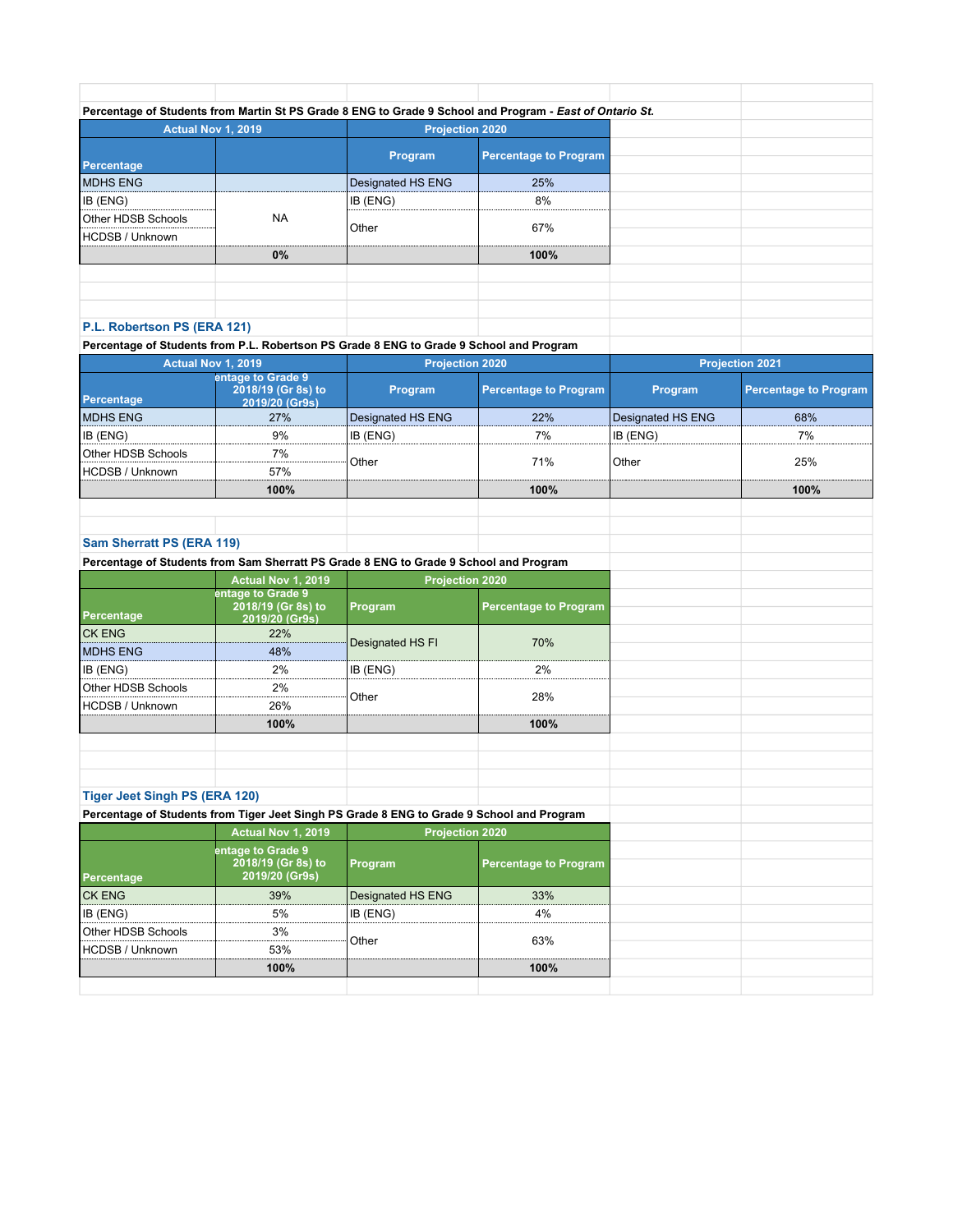|                                  |           |                        | Percentage of Students from Martin St PS Grade 8 ENG to Grade 9 School and Program - East of Ontario St. |
|----------------------------------|-----------|------------------------|----------------------------------------------------------------------------------------------------------|
| <b>Actual Nov 1, 2019</b>        |           | <b>Projection 2020</b> |                                                                                                          |
| Percentage                       |           | Program                | <b>Percentage to Program</b>                                                                             |
| <b>MDHS ENG</b>                  |           | Designated HS ENG      | 25%                                                                                                      |
| IB (ENG)                         |           | <b>IB</b> (ENG)        | 8%                                                                                                       |
| Other HDSB Schools               | <b>NA</b> | l Other                | 67%                                                                                                      |
| HCDSB / Unknown                  |           |                        |                                                                                                          |
|                                  | $0\%$     |                        | 100%                                                                                                     |
|                                  |           |                        |                                                                                                          |
|                                  |           |                        |                                                                                                          |
|                                  |           |                        |                                                                                                          |
| <b>DI Debenheem DC (EDA 494)</b> |           |                        |                                                                                                          |

## **P.L. Robertson PS (ERA 121)**

**Percentage of Students from P.L. Robertson PS Grade 8 ENG to Grade 9 School and Program**

| <b>Actual Nov 1, 2019</b> |                                                           | <b>Projection 2020</b> |                              | <b>Projection 2021</b> |                              |
|---------------------------|-----------------------------------------------------------|------------------------|------------------------------|------------------------|------------------------------|
| Percentage                | entage to Grade 9<br>2018/19 (Gr 8s) to<br>2019/20 (Gr9s) | <b>Program</b>         | <b>Percentage to Program</b> | <b>Program</b>         | <b>Percentage to Program</b> |
| <b>MDHS ENG</b>           | 27%                                                       | Designated HS ENG      | 22%                          | Designated HS ENG      | 68%                          |
| <b>IB (ENG)</b>           | 9%                                                        | IB (ENG)               | 7%                           | IB (ENG)               | 7%                           |
| Other HDSB Schools        | 7%                                                        | Other                  | 71%                          | Other                  | 25%                          |
| HCDSB / Unknown_          | 57%                                                       |                        |                              |                        |                              |
|                           | 100%                                                      |                        | 100%                         |                        | 100%                         |
|                           |                                                           |                        |                              |                        |                              |

## **Sam Sherratt PS (ERA 119)**

|                                      | Percentage of Students from Sam Sherratt PS Grade 8 ENG to Grade 9 School and Program     |                        |                              |  |
|--------------------------------------|-------------------------------------------------------------------------------------------|------------------------|------------------------------|--|
|                                      | Actual Nov 1, 2019                                                                        | <b>Projection 2020</b> |                              |  |
| Percentage                           | entage to Grade 9<br>2018/19 (Gr 8s) to<br>2019/20 (Gr9s)                                 | Program                | <b>Percentage to Program</b> |  |
| <b>CK ENG</b>                        | 22%                                                                                       | Designated HS FI       | 70%                          |  |
| <b>MDHS ENG</b>                      | 48%                                                                                       |                        |                              |  |
| IB (ENG)                             | 2%                                                                                        | IB (ENG)               | $2\%$                        |  |
| Other HDSB Schools                   | 2%                                                                                        | Other                  | 28%                          |  |
| <b>HCDSB / Unknown</b>               | 26%                                                                                       |                        |                              |  |
|                                      | 100%                                                                                      |                        | 100%                         |  |
|                                      |                                                                                           |                        |                              |  |
|                                      |                                                                                           |                        |                              |  |
|                                      |                                                                                           |                        |                              |  |
| <b>Tiger Jeet Singh PS (ERA 120)</b> |                                                                                           |                        |                              |  |
|                                      | Percentage of Students from Tiger Jeet Singh PS Grade 8 ENG to Grade 9 School and Program |                        |                              |  |
|                                      | Actual Nov 1, 2019                                                                        |                        | <b>Projection 2020</b>       |  |
| Percentage                           | entage to Grade 9<br>2018/19 (Gr 8s) to<br>2019/20 (Gr9s)                                 | Program                | <b>Percentage to Program</b> |  |
| <b>CK ENG</b>                        | 39%                                                                                       | Designated HS ENG      | 33%                          |  |
|                                      | 5%                                                                                        | IB (ENG)               | 4%                           |  |
| IB (ENG)                             |                                                                                           |                        |                              |  |
| Other HDSB Schools                   | 3%                                                                                        |                        |                              |  |
| <b>HCDSB / Unknown</b>               | 53%                                                                                       | Other                  | 63%                          |  |